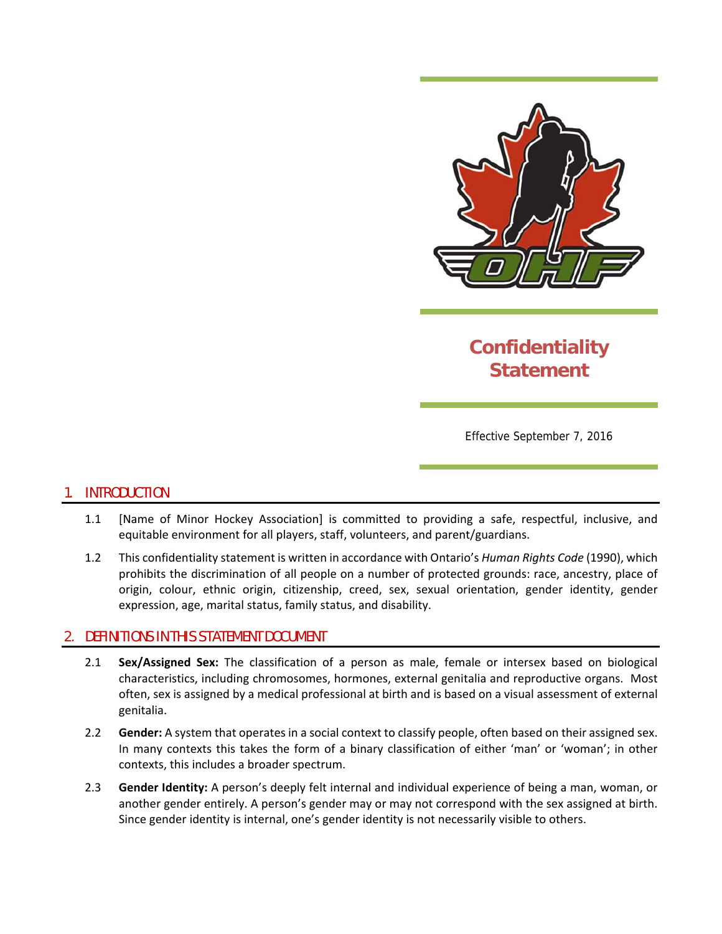

# **Confidentiality Statement**

Effective September 7, 2016

### 1. INTRODUCTION

- 1.1 [Name of Minor Hockey Association] is committed to providing a safe, respectful, inclusive, and equitable environment for all players, staff, volunteers, and parent/guardians.
- 1.2 This confidentiality statement is written in accordance with Ontario's *Human Rights Code* (1990), which prohibits the discrimination of all people on a number of protected grounds: race, ancestry, place of origin, colour, ethnic origin, citizenship, creed, sex, sexual orientation, gender identity, gender expression, age, marital status, family status, and disability.

#### 2. DEFINITIONS IN THIS STATEMENT DOCUMENT

- 2.1 **Sex/Assigned Sex:** The classification of a person as male, female or intersex based on biological characteristics, including chromosomes, hormones, external genitalia and reproductive organs. Most often, sex is assigned by a medical professional at birth and is based on a visual assessment of external genitalia.
- 2.2 **Gender:** A system that operates in a social context to classify people, often based on their assigned sex. In many contexts this takes the form of a binary classification of either 'man' or 'woman'; in other contexts, this includes a broader spectrum.
- 2.3 **Gender Identity:** A person's deeply felt internal and individual experience of being a man, woman, or another gender entirely. A person's gender may or may not correspond with the sex assigned at birth. Since gender identity is internal, one's gender identity is not necessarily visible to others.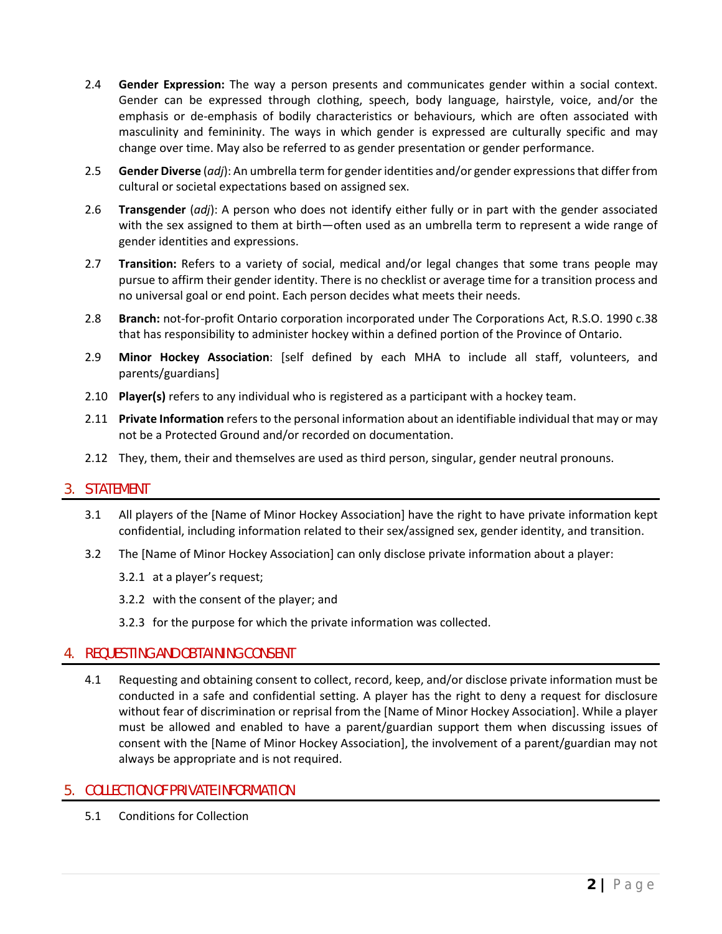- 2.4 **Gender Expression:** The way a person presents and communicates gender within a social context. Gender can be expressed through clothing, speech, body language, hairstyle, voice, and/or the emphasis or de-emphasis of bodily characteristics or behaviours, which are often associated with masculinity and femininity. The ways in which gender is expressed are culturally specific and may change over time. May also be referred to as gender presentation or gender performance.
- 2.5 **Gender Diverse** (*adj*): An umbrella term for gender identities and/or gender expressionsthat differfrom cultural or societal expectations based on assigned sex.
- 2.6 **Transgender** (*adj*): A person who does not identify either fully or in part with the gender associated with the sex assigned to them at birth—often used as an umbrella term to represent a wide range of gender identities and expressions.
- 2.7 **Transition:** Refers to a variety of social, medical and/or legal changes that some trans people may pursue to affirm their gender identity. There is no checklist or average time for a transition process and no universal goal or end point. Each person decides what meets their needs.
- 2.8 **Branch:** not-for-profit Ontario corporation incorporated under The Corporations Act, R.S.O. 1990 c.38 that has responsibility to administer hockey within a defined portion of the Province of Ontario.
- 2.9 **Minor Hockey Association**: [self defined by each MHA to include all staff, volunteers, and parents/guardians]
- 2.10 **Player(s)** refers to any individual who is registered as a participant with a hockey team.
- 2.11 **Private Information** refersto the personal information about an identifiable individual that may or may not be a Protected Ground and/or recorded on documentation.
- 2.12 They, them, their and themselves are used as third person, singular, gender neutral pronouns.

### 3. STATEMENT

- 3.1 All players of the [Name of Minor Hockey Association] have the right to have private information kept confidential, including information related to their sex/assigned sex, gender identity, and transition.
- 3.2 The [Name of Minor Hockey Association] can only disclose private information about a player:
	- 3.2.1 at a player's request;
	- 3.2.2 with the consent of the player; and
	- 3.2.3 for the purpose for which the private information was collected.

### 4. REQUESTING AND OBTAINING CONSENT

4.1 Requesting and obtaining consent to collect, record, keep, and/or disclose private information must be conducted in a safe and confidential setting. A player has the right to deny a request for disclosure without fear of discrimination or reprisal from the [Name of Minor Hockey Association]. While a player must be allowed and enabled to have a parent/guardian support them when discussing issues of consent with the [Name of Minor Hockey Association], the involvement of a parent/guardian may not always be appropriate and is not required.

### 5. COLLECTION OF PRIVATE INFORMATION

5.1 Conditions for Collection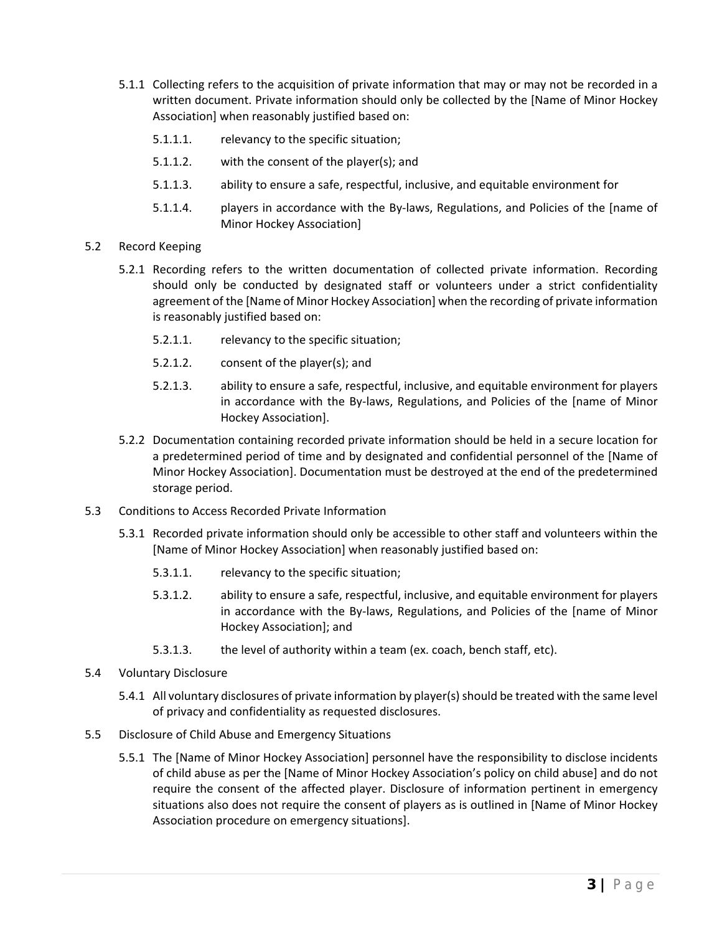- 5.1.1 Collecting refers to the acquisition of private information that may or may not be recorded in a written document. Private information should only be collected by the [Name of Minor Hockey Association] when reasonably justified based on:
	- 5.1.1.1. relevancy to the specific situation;
	- 5.1.1.2. with the consent of the player(s); and
	- 5.1.1.3. ability to ensure a safe, respectful, inclusive, and equitable environment for
	- 5.1.1.4. players in accordance with the By-laws, Regulations, and Policies of the [name of Minor Hockey Association]
- 5.2 Record Keeping
	- 5.2.1 Recording refers to the written documentation of collected private information. Recording should only be conducted by designated staff or volunteers under a strict confidentiality agreement of the [Name of Minor Hockey Association] when the recording of private information is reasonably justified based on:
		- 5.2.1.1. relevancy to the specific situation;
		- 5.2.1.2. consent of the player(s); and
		- 5.2.1.3. ability to ensure a safe, respectful, inclusive, and equitable environment for players in accordance with the By‐laws, Regulations, and Policies of the [name of Minor Hockey Association].
	- 5.2.2 Documentation containing recorded private information should be held in a secure location for a predetermined period of time and by designated and confidential personnel of the [Name of Minor Hockey Association]. Documentation must be destroyed at the end of the predetermined storage period.
- 5.3 Conditions to Access Recorded Private Information
	- 5.3.1 Recorded private information should only be accessible to other staff and volunteers within the [Name of Minor Hockey Association] when reasonably justified based on:
		- 5.3.1.1. relevancy to the specific situation;
		- 5.3.1.2. ability to ensure a safe, respectful, inclusive, and equitable environment for players in accordance with the By‐laws, Regulations, and Policies of the [name of Minor Hockey Association]; and
		- 5.3.1.3. the level of authority within a team (ex. coach, bench staff, etc).
- 5.4 Voluntary Disclosure
	- 5.4.1 All voluntary disclosures of private information by player(s)should be treated with the same level of privacy and confidentiality as requested disclosures.
- 5.5 Disclosure of Child Abuse and Emergency Situations
	- 5.5.1 The [Name of Minor Hockey Association] personnel have the responsibility to disclose incidents of child abuse as per the [Name of Minor Hockey Association's policy on child abuse] and do not require the consent of the affected player. Disclosure of information pertinent in emergency situations also does not require the consent of players as is outlined in [Name of Minor Hockey Association procedure on emergency situations].